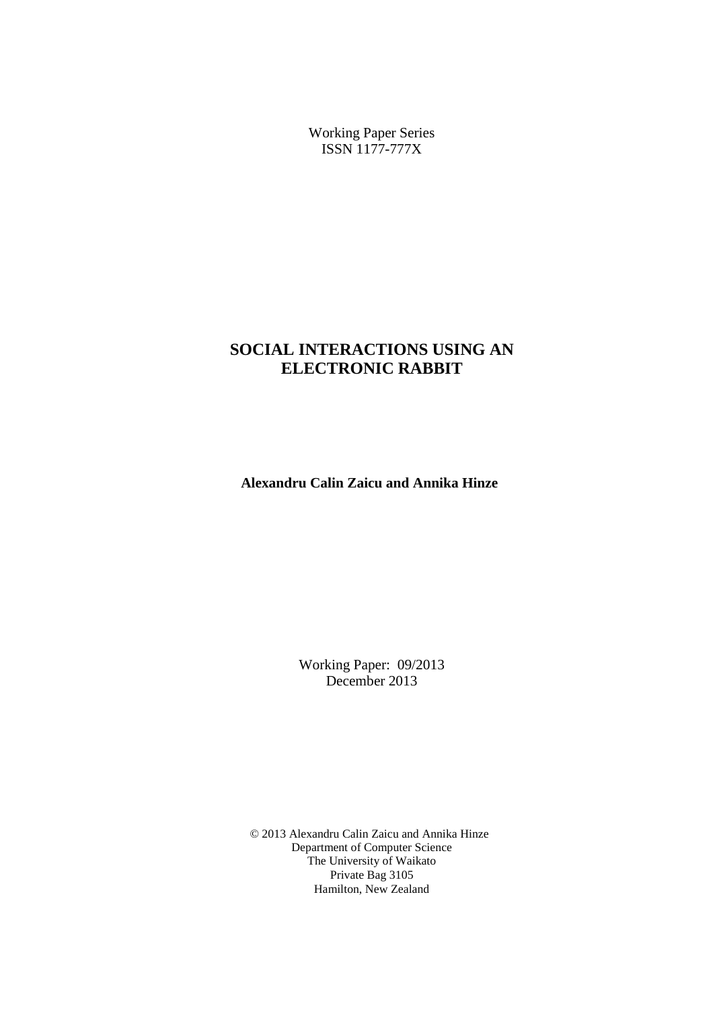Working Paper Series ISSN 1177-777X

# **SOCIAL INTERACTIONS USING AN ELECTRONIC RABBIT**

**Alexandru Calin Zaicu and Annika Hinze**

Working Paper: 09/2013 December 2013

© 2013 Alexandru Calin Zaicu and Annika Hinze Department of Computer Science The University of Waikato Private Bag 3105 Hamilton, New Zealand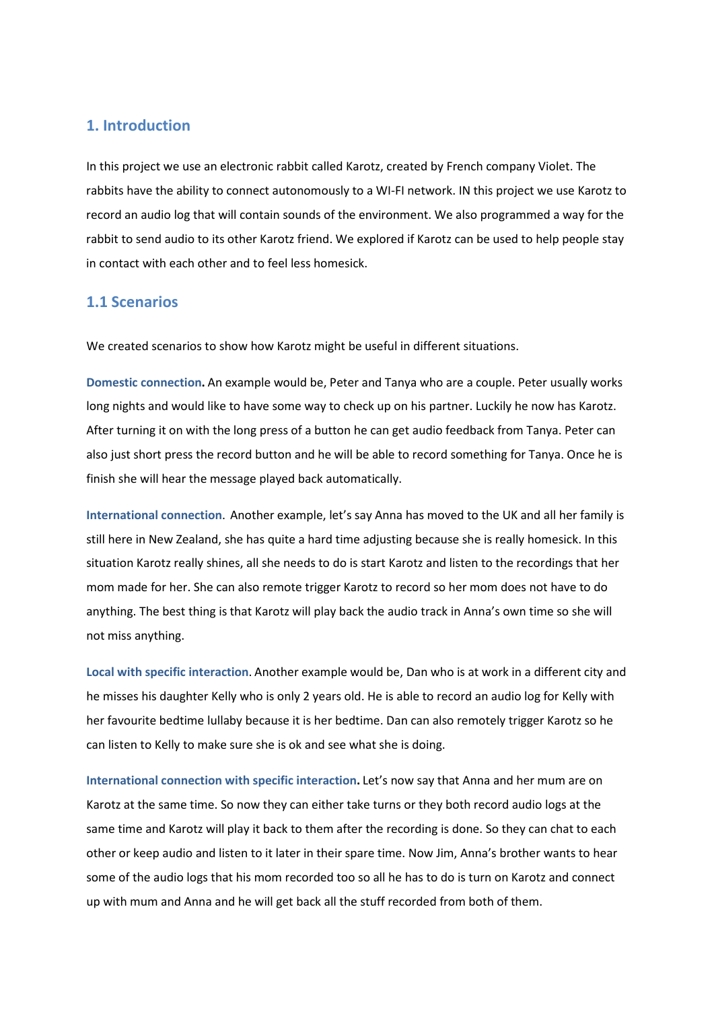### **1. Introduction**

In this project we use an electronic rabbit called Karotz, created by French company Violet. The rabbits have the ability to connect autonomously to a WI-FI network. IN this project we use Karotz to record an audio log that will contain sounds of the environment. We also programmed a way for the rabbit to send audio to its other Karotz friend. We explored if Karotz can be used to help people stay in contact with each other and to feel less homesick.

#### **1.1 Scenarios**

We created scenarios to show how Karotz might be useful in different situations.

**Domestic connection.** An example would be, Peter and Tanya who are a couple. Peter usually works long nights and would like to have some way to check up on his partner. Luckily he now has Karotz. After turning it on with the long press of a button he can get audio feedback from Tanya. Peter can also just short press the record button and he will be able to record something for Tanya. Once he is finish she will hear the message played back automatically.

**International connection**. Another example, let's say Anna has moved to the UK and all her family is still here in New Zealand, she has quite a hard time adjusting because she is really homesick. In this situation Karotz really shines, all she needs to do is start Karotz and listen to the recordings that her mom made for her. She can also remote trigger Karotz to record so her mom does not have to do anything. The best thing is that Karotz will play back the audio track in Anna's own time so she will not miss anything.

**Local with specific interaction**. Another example would be, Dan who is at work in a different city and he misses his daughter Kelly who is only 2 years old. He is able to record an audio log for Kelly with her favourite bedtime lullaby because it is her bedtime. Dan can also remotely trigger Karotz so he can listen to Kelly to make sure she is ok and see what she is doing.

**International connection with specific interaction.** Let's now say that Anna and her mum are on Karotz at the same time. So now they can either take turns or they both record audio logs at the same time and Karotz will play it back to them after the recording is done. So they can chat to each other or keep audio and listen to it later in their spare time. Now Jim, Anna's brother wants to hear some of the audio logs that his mom recorded too so all he has to do is turn on Karotz and connect up with mum and Anna and he will get back all the stuff recorded from both of them.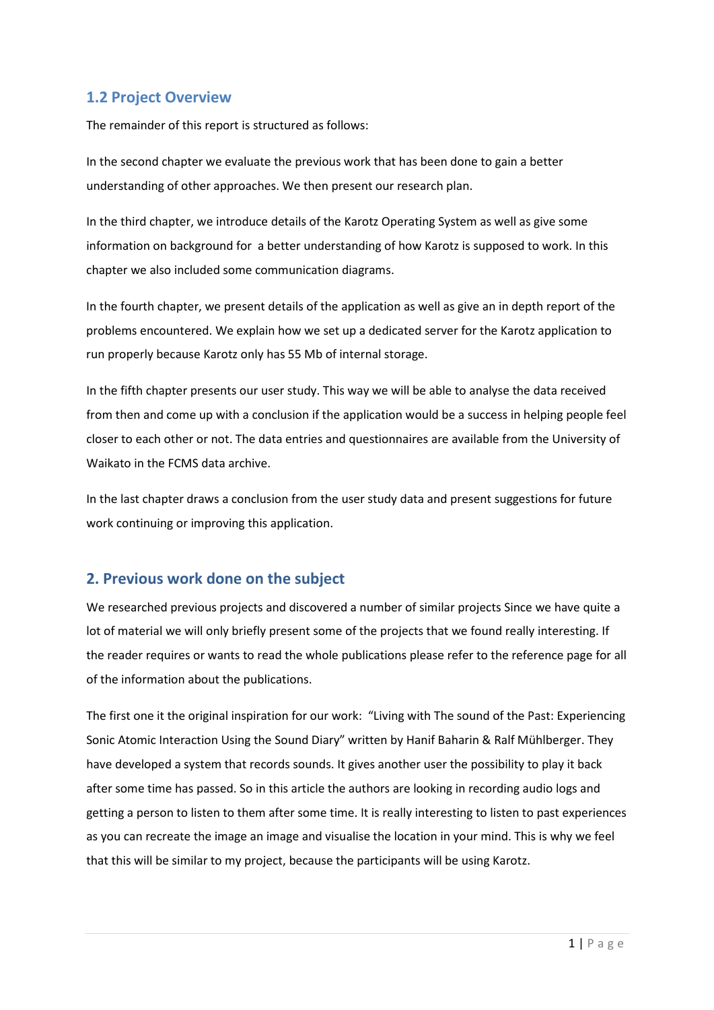# **1.2 Project Overview**

The remainder of this report is structured as follows:

In the second chapter we evaluate the previous work that has been done to gain a better understanding of other approaches. We then present our research plan.

In the third chapter, we introduce details of the Karotz Operating System as well as give some information on background for a better understanding of how Karotz is supposed to work. In this chapter we also included some communication diagrams.

In the fourth chapter, we present details of the application as well as give an in depth report of the problems encountered. We explain how we set up a dedicated server for the Karotz application to run properly because Karotz only has 55 Mb of internal storage.

In the fifth chapter presents our user study. This way we will be able to analyse the data received from then and come up with a conclusion if the application would be a success in helping people feel closer to each other or not. The data entries and questionnaires are available from the University of Waikato in the FCMS data archive.

In the last chapter draws a conclusion from the user study data and present suggestions for future work continuing or improving this application.

### **2. Previous work done on the subject**

We researched previous projects and discovered a number of similar projects Since we have quite a lot of material we will only briefly present some of the projects that we found really interesting. If the reader requires or wants to read the whole publications please refer to the reference page for all of the information about the publications.

The first one it the original inspiration for our work: "Living with The sound of the Past: Experiencing Sonic Atomic Interaction Using the Sound Diary" written by Hanif Baharin & Ralf Mühlberger. They have developed a system that records sounds. It gives another user the possibility to play it back after some time has passed. So in this article the authors are looking in recording audio logs and getting a person to listen to them after some time. It is really interesting to listen to past experiences as you can recreate the image an image and visualise the location in your mind. This is why we feel that this will be similar to my project, because the participants will be using Karotz.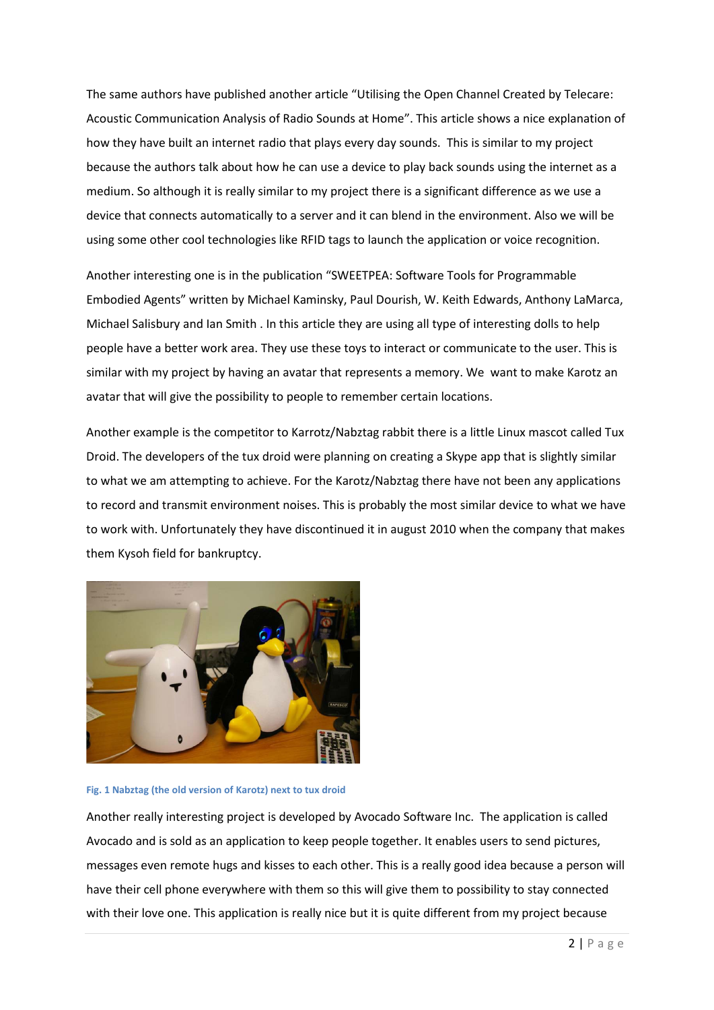The same authors have published another article "Utilising the Open Channel Created by Telecare: Acoustic Communication Analysis of Radio Sounds at Home". This article shows a nice explanation of how they have built an internet radio that plays every day sounds. This is similar to my project because the authors talk about how he can use a device to play back sounds using the internet as a medium. So although it is really similar to my project there is a significant difference as we use a device that connects automatically to a server and it can blend in the environment. Also we will be using some other cool technologies like RFID tags to launch the application or voice recognition.

Another interesting one is in the publication "SWEETPEA: Software Tools for Programmable Embodied Agents" written by Michael Kaminsky, Paul Dourish, W. Keith Edwards, Anthony LaMarca, Michael Salisbury and Ian Smith . In this article they are using all type of interesting dolls to help people have a better work area. They use these toys to interact or communicate to the user. This is similar with my project by having an avatar that represents a memory. We want to make Karotz an avatar that will give the possibility to people to remember certain locations.

Another example is the competitor to Karrotz/Nabztag rabbit there is a little Linux mascot called Tux Droid. The developers of the tux droid were planning on creating a Skype app that is slightly similar to what we am attempting to achieve. For the Karotz/Nabztag there have not been any applications to record and transmit environment noises. This is probably the most similar device to what we have to work with. Unfortunately they have discontinued it in august 2010 when the company that makes them Kysoh field for bankruptcy.



#### **Fig. 1 Nabztag (the old version of Karotz) next to tux droid**

Another really interesting project is developed by Avocado Software Inc. The application is called Avocado and is sold as an application to keep people together. It enables users to send pictures, messages even remote hugs and kisses to each other. This is a really good idea because a person will have their cell phone everywhere with them so this will give them to possibility to stay connected with their love one. This application is really nice but it is quite different from my project because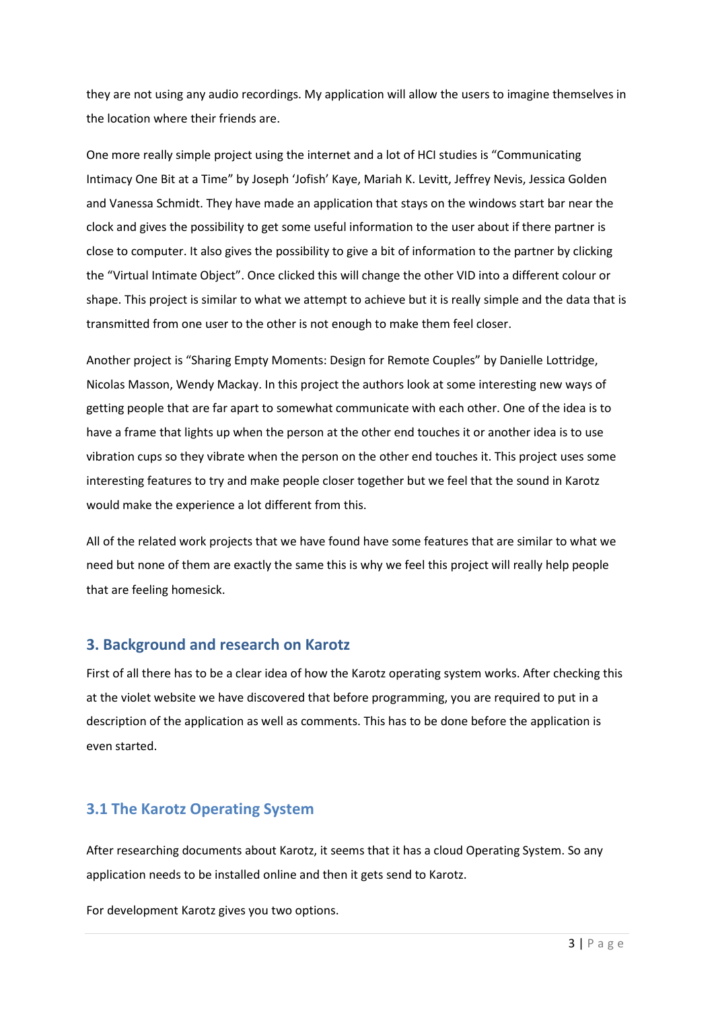they are not using any audio recordings. My application will allow the users to imagine themselves in the location where their friends are.

One more really simple project using the internet and a lot of HCI studies is "Communicating Intimacy One Bit at a Time" by Joseph 'Jofish' Kaye, Mariah K. Levitt, Jeffrey Nevis, Jessica Golden and Vanessa Schmidt. They have made an application that stays on the windows start bar near the clock and gives the possibility to get some useful information to the user about if there partner is close to computer. It also gives the possibility to give a bit of information to the partner by clicking the "Virtual Intimate Object". Once clicked this will change the other VID into a different colour or shape. This project is similar to what we attempt to achieve but it is really simple and the data that is transmitted from one user to the other is not enough to make them feel closer.

Another project is "Sharing Empty Moments: Design for Remote Couples" by Danielle Lottridge, Nicolas Masson, Wendy Mackay. In this project the authors look at some interesting new ways of getting people that are far apart to somewhat communicate with each other. One of the idea is to have a frame that lights up when the person at the other end touches it or another idea is to use vibration cups so they vibrate when the person on the other end touches it. This project uses some interesting features to try and make people closer together but we feel that the sound in Karotz would make the experience a lot different from this.

All of the related work projects that we have found have some features that are similar to what we need but none of them are exactly the same this is why we feel this project will really help people that are feeling homesick.

# **3. Background and research on Karotz**

First of all there has to be a clear idea of how the Karotz operating system works. After checking this at the violet website we have discovered that before programming, you are required to put in a description of the application as well as comments. This has to be done before the application is even started.

# **3.1 The Karotz Operating System**

After researching documents about Karotz, it seems that it has a cloud Operating System. So any application needs to be installed online and then it gets send to Karotz.

For development Karotz gives you two options.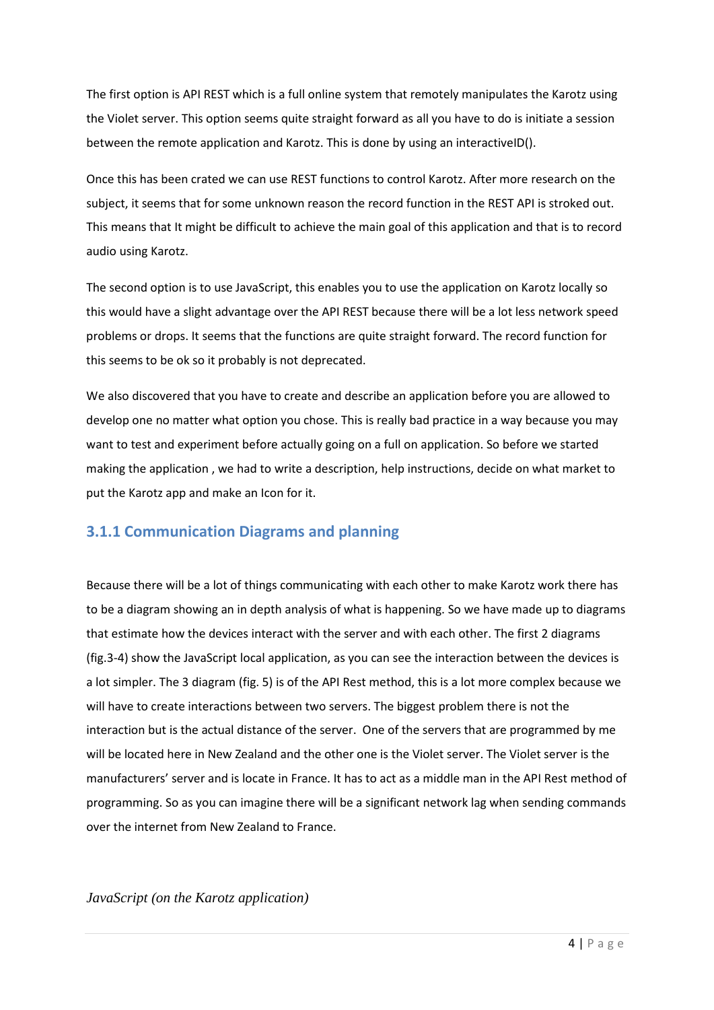The first option is API REST which is a full online system that remotely manipulates the Karotz using the Violet server. This option seems quite straight forward as all you have to do is initiate a session between the remote application and Karotz. This is done by using an interactiveID().

Once this has been crated we can use REST functions to control Karotz. After more research on the subject, it seems that for some unknown reason the record function in the REST API is stroked out. This means that It might be difficult to achieve the main goal of this application and that is to record audio using Karotz.

The second option is to use JavaScript, this enables you to use the application on Karotz locally so this would have a slight advantage over the API REST because there will be a lot less network speed problems or drops. It seems that the functions are quite straight forward. The record function for this seems to be ok so it probably is not deprecated.

We also discovered that you have to create and describe an application before you are allowed to develop one no matter what option you chose. This is really bad practice in a way because you may want to test and experiment before actually going on a full on application. So before we started making the application , we had to write a description, help instructions, decide on what market to put the Karotz app and make an Icon for it.

# **3.1.1 Communication Diagrams and planning**

Because there will be a lot of things communicating with each other to make Karotz work there has to be a diagram showing an in depth analysis of what is happening. So we have made up to diagrams that estimate how the devices interact with the server and with each other. The first 2 diagrams (fig.3-4) show the JavaScript local application, as you can see the interaction between the devices is a lot simpler. The 3 diagram (fig. 5) is of the API Rest method, this is a lot more complex because we will have to create interactions between two servers. The biggest problem there is not the interaction but is the actual distance of the server. One of the servers that are programmed by me will be located here in New Zealand and the other one is the Violet server. The Violet server is the manufacturers' server and is locate in France. It has to act as a middle man in the API Rest method of programming. So as you can imagine there will be a significant network lag when sending commands over the internet from New Zealand to France.

*JavaScript (on the Karotz application)*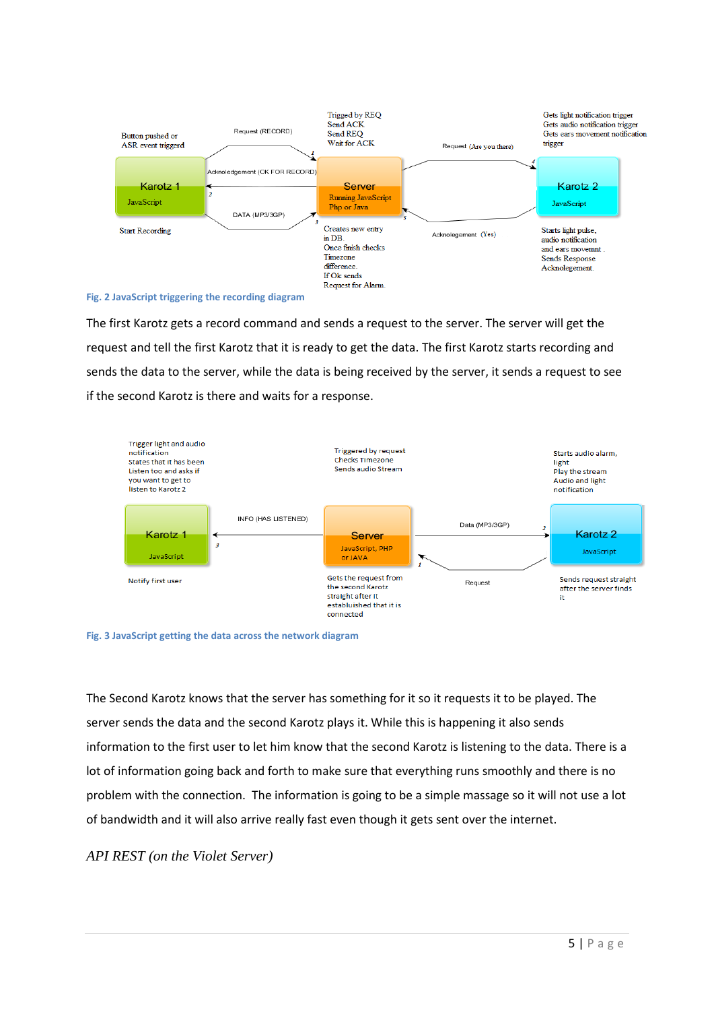

**Fig. 2 JavaScript triggering the recording diagram**

The first Karotz gets a record command and sends a request to the server. The server will get the request and tell the first Karotz that it is ready to get the data. The first Karotz starts recording and sends the data to the server, while the data is being received by the server, it sends a request to see if the second Karotz is there and waits for a response.



**Fig. 3 JavaScript getting the data across the network diagram**

The Second Karotz knows that the server has something for it so it requests it to be played. The server sends the data and the second Karotz plays it. While this is happening it also sends information to the first user to let him know that the second Karotz is listening to the data. There is a lot of information going back and forth to make sure that everything runs smoothly and there is no problem with the connection. The information is going to be a simple massage so it will not use a lot of bandwidth and it will also arrive really fast even though it gets sent over the internet.

*API REST (on the Violet Server)*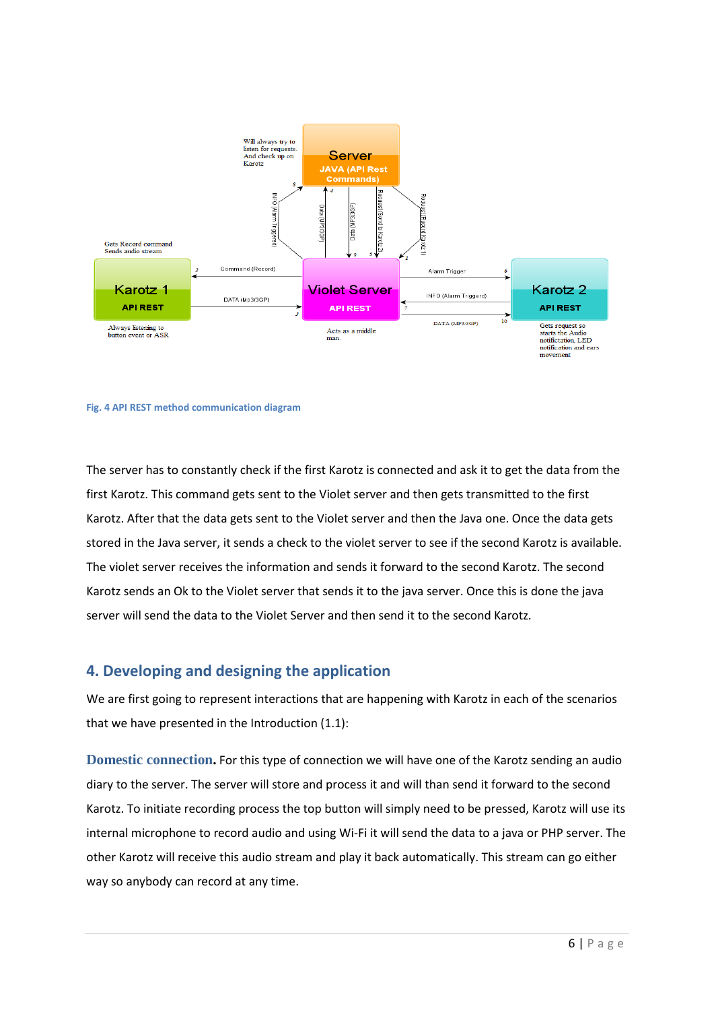

#### **Fig. 4 API REST method communication diagram**

The server has to constantly check if the first Karotz is connected and ask it to get the data from the first Karotz. This command gets sent to the Violet server and then gets transmitted to the first Karotz. After that the data gets sent to the Violet server and then the Java one. Once the data gets stored in the Java server, it sends a check to the violet server to see if the second Karotz is available. The violet server receives the information and sends it forward to the second Karotz. The second Karotz sends an Ok to the Violet server that sends it to the java server. Once this is done the java server will send the data to the Violet Server and then send it to the second Karotz.

#### **4. Developing and designing the application**

We are first going to represent interactions that are happening with Karotz in each of the scenarios that we have presented in the Introduction (1.1):

**Domestic connection.** For this type of connection we will have one of the Karotz sending an audio diary to the server. The server will store and process it and will than send it forward to the second Karotz. To initiate recording process the top button will simply need to be pressed, Karotz will use its internal microphone to record audio and using Wi-Fi it will send the data to a java or PHP server. The other Karotz will receive this audio stream and play it back automatically. This stream can go either way so anybody can record at any time.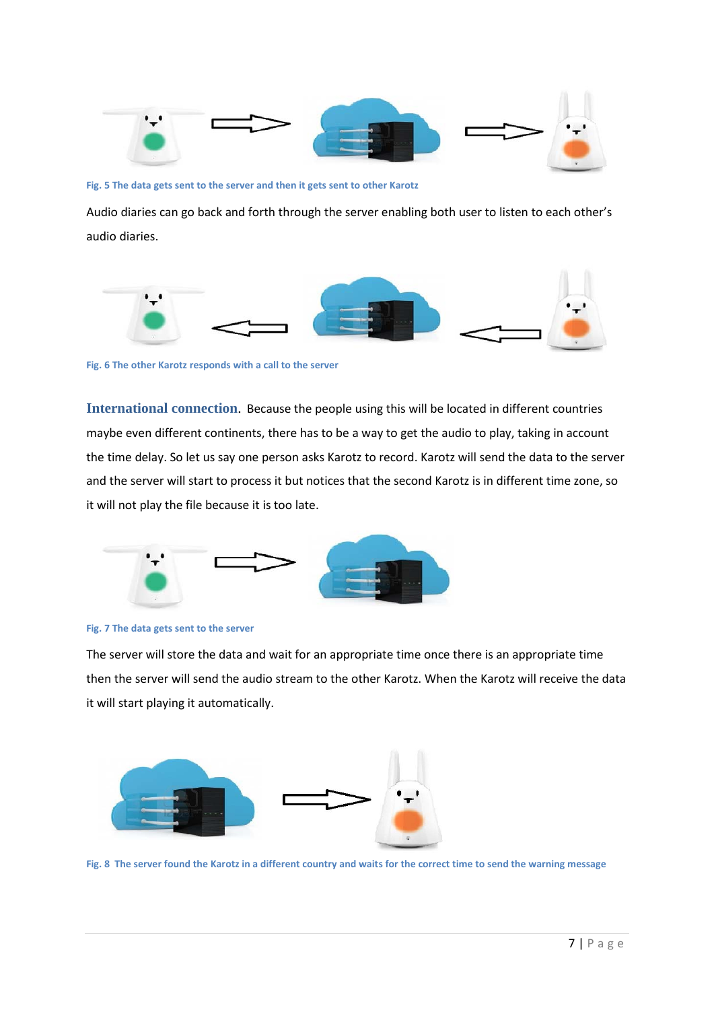

**Fig. 5 The data gets sent to the server and then it gets sent to other Karotz**

Audio diaries can go back and forth through the server enabling both user to listen to each other's audio diaries.



**Fig. 6 The other Karotz responds with a call to the server**

**International connection**. Because the people using this will be located in different countries maybe even different continents, there has to be a way to get the audio to play, taking in account the time delay. So let us say one person asks Karotz to record. Karotz will send the data to the server and the server will start to process it but notices that the second Karotz is in different time zone, so it will not play the file because it is too late.





The server will store the data and wait for an appropriate time once there is an appropriate time then the server will send the audio stream to the other Karotz. When the Karotz will receive the data it will start playing it automatically.



**Fig. 8 The server found the Karotz in a different country and waits for the correct time to send the warning message**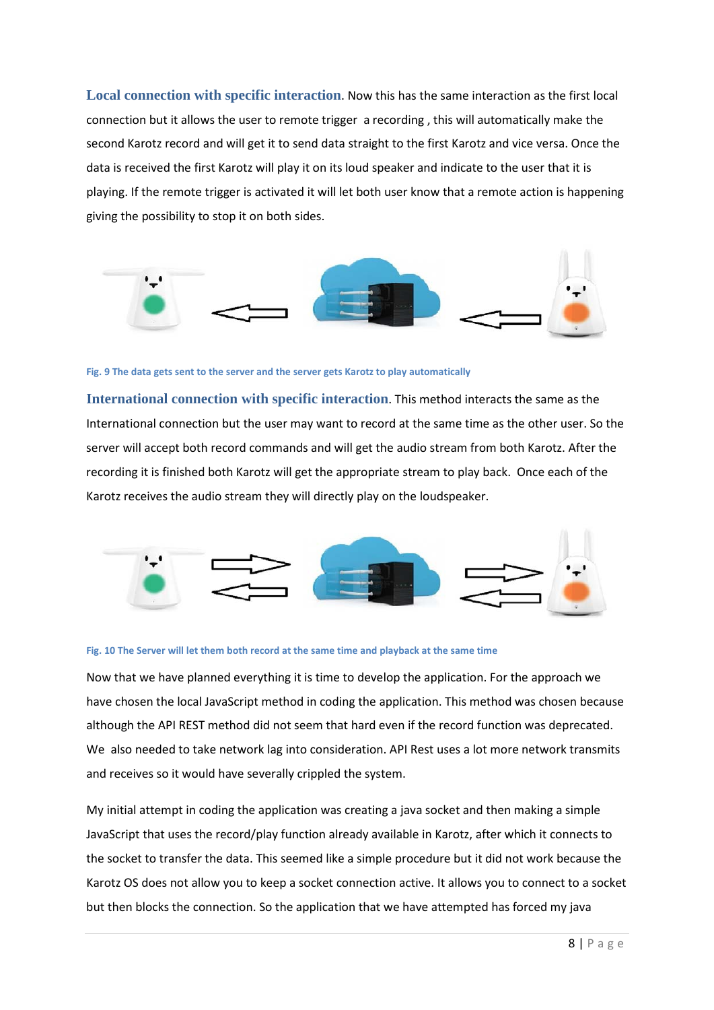**Local connection with specific interaction**. Now this has the same interaction as the first local connection but it allows the user to remote trigger a recording , this will automatically make the second Karotz record and will get it to send data straight to the first Karotz and vice versa. Once the data is received the first Karotz will play it on its loud speaker and indicate to the user that it is playing. If the remote trigger is activated it will let both user know that a remote action is happening giving the possibility to stop it on both sides.



#### **Fig. 9 The data gets sent to the server and the server gets Karotz to play automatically**

**International connection with specific interaction**. This method interacts the same as the International connection but the user may want to record at the same time as the other user. So the server will accept both record commands and will get the audio stream from both Karotz. After the recording it is finished both Karotz will get the appropriate stream to play back. Once each of the Karotz receives the audio stream they will directly play on the loudspeaker.



#### **Fig. 10 The Server will let them both record at the same time and playback at the same time**

Now that we have planned everything it is time to develop the application. For the approach we have chosen the local JavaScript method in coding the application. This method was chosen because although the API REST method did not seem that hard even if the record function was deprecated. We also needed to take network lag into consideration. API Rest uses a lot more network transmits and receives so it would have severally crippled the system.

My initial attempt in coding the application was creating a java socket and then making a simple JavaScript that uses the record/play function already available in Karotz, after which it connects to the socket to transfer the data. This seemed like a simple procedure but it did not work because the Karotz OS does not allow you to keep a socket connection active. It allows you to connect to a socket but then blocks the connection. So the application that we have attempted has forced my java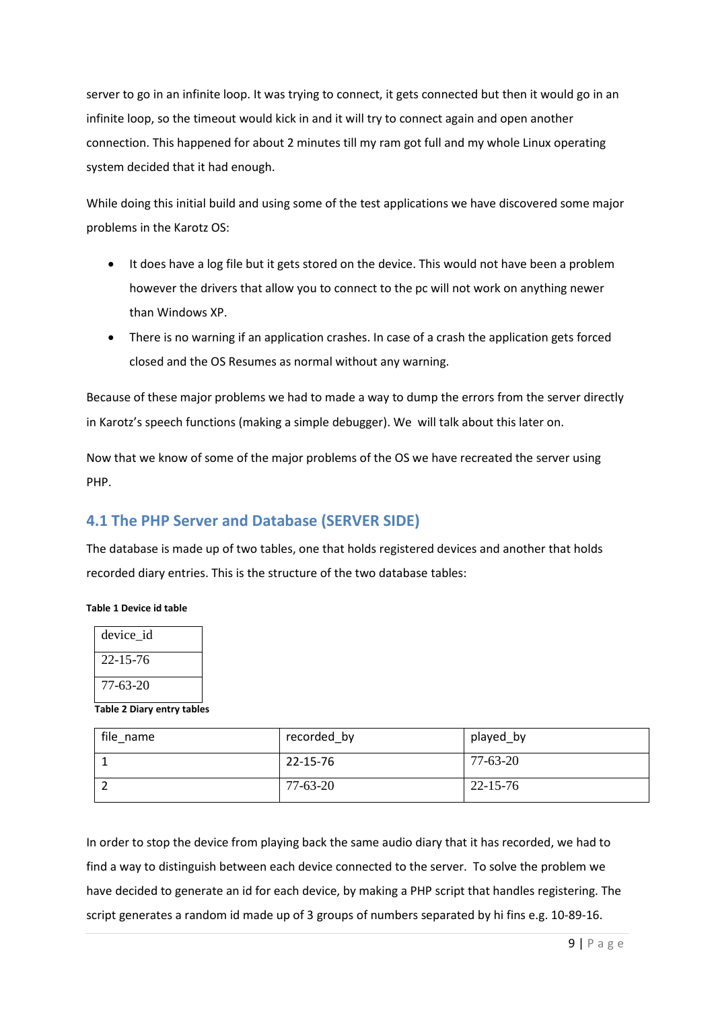server to go in an infinite loop. It was trying to connect, it gets connected but then it would go in an infinite loop, so the timeout would kick in and it will try to connect again and open another connection. This happened for about 2 minutes till my ram got full and my whole Linux operating system decided that it had enough.

While doing this initial build and using some of the test applications we have discovered some major problems in the Karotz OS:

- It does have a log file but it gets stored on the device. This would not have been a problem however the drivers that allow you to connect to the pc will not work on anything newer than Windows XP.
- There is no warning if an application crashes. In case of a crash the application gets forced closed and the OS Resumes as normal without any warning.

Because of these major problems we had to made a way to dump the errors from the server directly in Karotz's speech functions (making a simple debugger). We will talk about this later on.

Now that we know of some of the major problems of the OS we have recreated the server using PHP.

# **4.1 The PHP Server and Database (SERVER SIDE)**

The database is made up of two tables, one that holds registered devices and another that holds recorded diary entries. This is the structure of the two database tables:

#### **Table 1 Device id table**

| device id      |  |
|----------------|--|
| $22 - 15 - 76$ |  |
| 77-63-20       |  |

**Table 2 Diary entry tables**

| file name | recorded_by | played_by      |
|-----------|-------------|----------------|
|           | 22-15-76    | 77-63-20       |
|           | 77-63-20    | $22 - 15 - 76$ |

In order to stop the device from playing back the same audio diary that it has recorded, we had to find a way to distinguish between each device connected to the server. To solve the problem we have decided to generate an id for each device, by making a PHP script that handles registering. The script generates a random id made up of 3 groups of numbers separated by hi fins e.g. 10-89-16.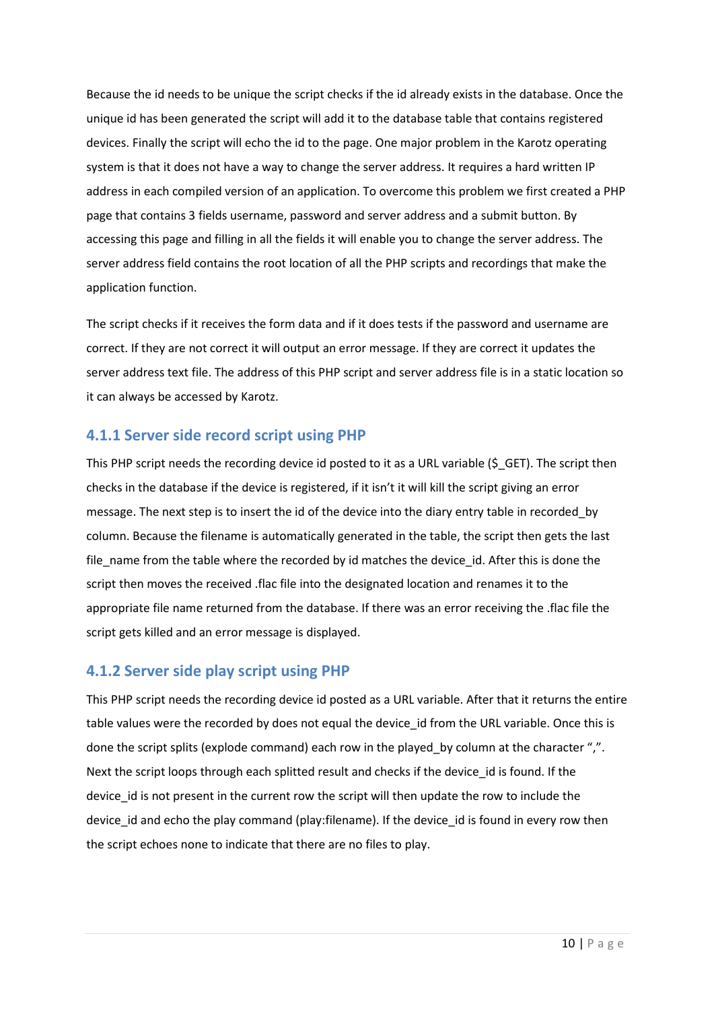Because the id needs to be unique the script checks if the id already exists in the database. Once the unique id has been generated the script will add it to the database table that contains registered devices. Finally the script will echo the id to the page. One major problem in the Karotz operating system is that it does not have a way to change the server address. It requires a hard written IP address in each compiled version of an application. To overcome this problem we first created a PHP page that contains 3 fields username, password and server address and a submit button. By accessing this page and filling in all the fields it will enable you to change the server address. The server address field contains the root location of all the PHP scripts and recordings that make the application function.

The script checks if it receives the form data and if it does tests if the password and username are correct. If they are not correct it will output an error message. If they are correct it updates the server address text file. The address of this PHP script and server address file is in a static location so it can always be accessed by Karotz.

### **4.1.1 Server side record script using PHP**

This PHP script needs the recording device id posted to it as a URL variable (\$\_GET). The script then checks in the database if the device is registered, if it isn't it will kill the script giving an error message. The next step is to insert the id of the device into the diary entry table in recorded\_by column. Because the filename is automatically generated in the table, the script then gets the last file name from the table where the recorded by id matches the device id. After this is done the script then moves the received .flac file into the designated location and renames it to the appropriate file name returned from the database. If there was an error receiving the .flac file the script gets killed and an error message is displayed.

# **4.1.2 Server side play script using PHP**

This PHP script needs the recording device id posted as a URL variable. After that it returns the entire table values were the recorded by does not equal the device id from the URL variable. Once this is done the script splits (explode command) each row in the played by column at the character ",". Next the script loops through each splitted result and checks if the device id is found. If the device id is not present in the current row the script will then update the row to include the device id and echo the play command (play: filename). If the device id is found in every row then the script echoes none to indicate that there are no files to play.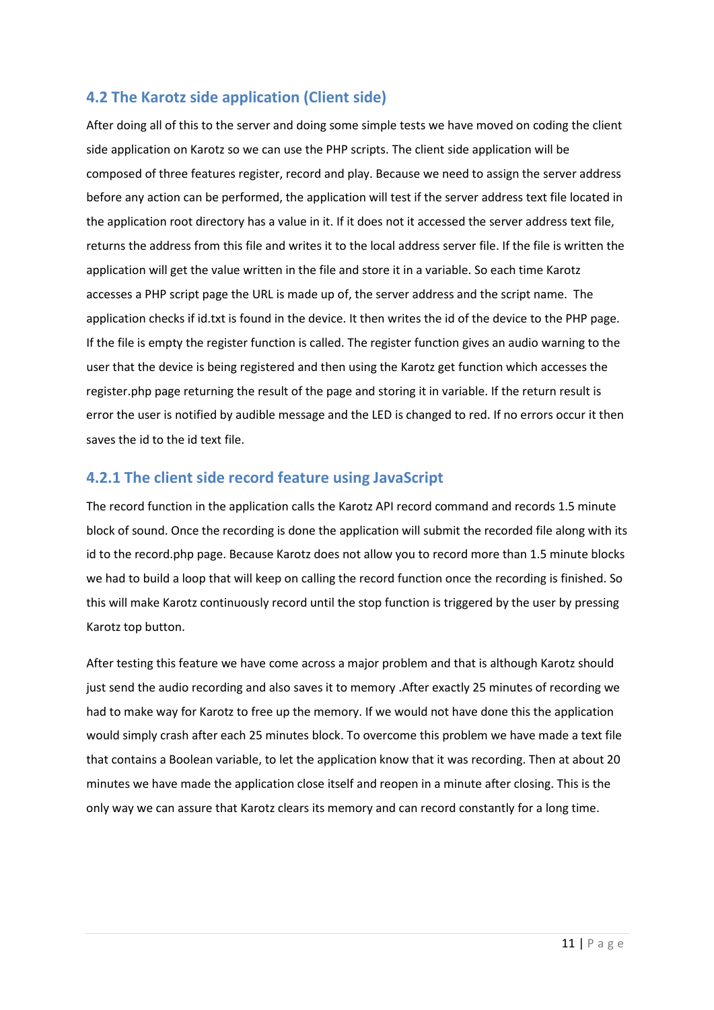# **4.2 The Karotz side application (Client side)**

After doing all of this to the server and doing some simple tests we have moved on coding the client side application on Karotz so we can use the PHP scripts. The client side application will be composed of three features register, record and play. Because we need to assign the server address before any action can be performed, the application will test if the server address text file located in the application root directory has a value in it. If it does not it accessed the server address text file, returns the address from this file and writes it to the local address server file. If the file is written the application will get the value written in the file and store it in a variable. So each time Karotz accesses a PHP script page the URL is made up of, the server address and the script name. The application checks if id.txt is found in the device. It then writes the id of the device to the PHP page. If the file is empty the register function is called. The register function gives an audio warning to the user that the device is being registered and then using the Karotz get function which accesses the register.php page returning the result of the page and storing it in variable. If the return result is error the user is notified by audible message and the LED is changed to red. If no errors occur it then saves the id to the id text file.

# **4.2.1 The client side record feature using JavaScript**

The record function in the application calls the Karotz API record command and records 1.5 minute block of sound. Once the recording is done the application will submit the recorded file along with its id to the record.php page. Because Karotz does not allow you to record more than 1.5 minute blocks we had to build a loop that will keep on calling the record function once the recording is finished. So this will make Karotz continuously record until the stop function is triggered by the user by pressing Karotz top button.

After testing this feature we have come across a major problem and that is although Karotz should just send the audio recording and also saves it to memory .After exactly 25 minutes of recording we had to make way for Karotz to free up the memory. If we would not have done this the application would simply crash after each 25 minutes block. To overcome this problem we have made a text file that contains a Boolean variable, to let the application know that it was recording. Then at about 20 minutes we have made the application close itself and reopen in a minute after closing. This is the only way we can assure that Karotz clears its memory and can record constantly for a long time.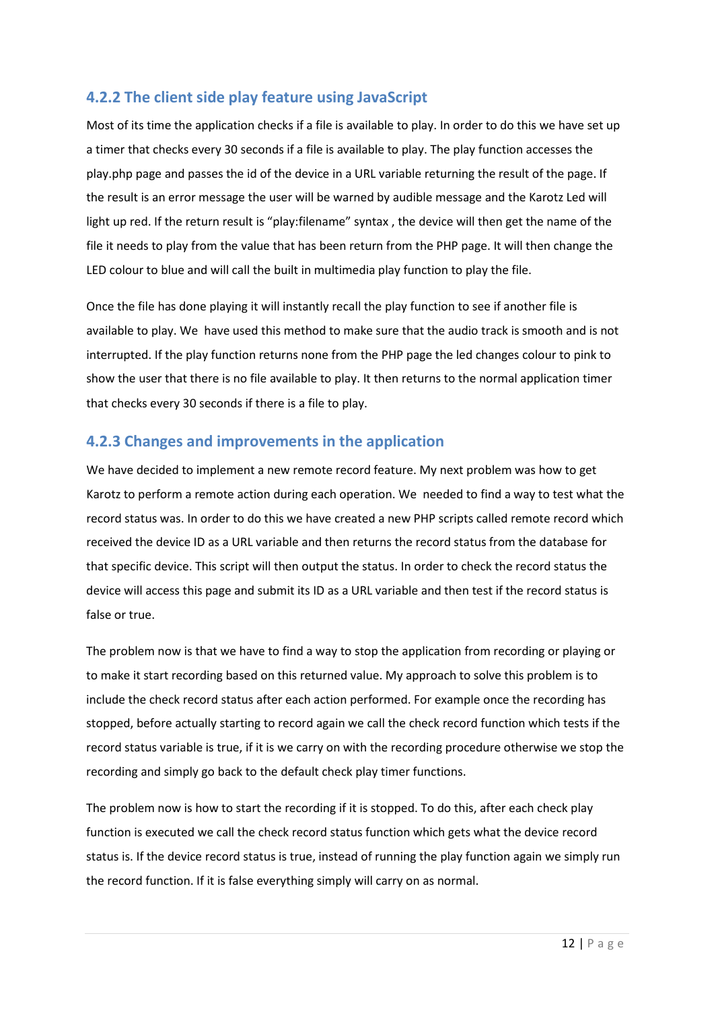# **4.2.2 The client side play feature using JavaScript**

Most of its time the application checks if a file is available to play. In order to do this we have set up a timer that checks every 30 seconds if a file is available to play. The play function accesses the play.php page and passes the id of the device in a URL variable returning the result of the page. If the result is an error message the user will be warned by audible message and the Karotz Led will light up red. If the return result is "play:filename" syntax , the device will then get the name of the file it needs to play from the value that has been return from the PHP page. It will then change the LED colour to blue and will call the built in multimedia play function to play the file.

Once the file has done playing it will instantly recall the play function to see if another file is available to play. We have used this method to make sure that the audio track is smooth and is not interrupted. If the play function returns none from the PHP page the led changes colour to pink to show the user that there is no file available to play. It then returns to the normal application timer that checks every 30 seconds if there is a file to play.

# **4.2.3 Changes and improvements in the application**

We have decided to implement a new remote record feature. My next problem was how to get Karotz to perform a remote action during each operation. We needed to find a way to test what the record status was. In order to do this we have created a new PHP scripts called remote record which received the device ID as a URL variable and then returns the record status from the database for that specific device. This script will then output the status. In order to check the record status the device will access this page and submit its ID as a URL variable and then test if the record status is false or true.

The problem now is that we have to find a way to stop the application from recording or playing or to make it start recording based on this returned value. My approach to solve this problem is to include the check record status after each action performed. For example once the recording has stopped, before actually starting to record again we call the check record function which tests if the record status variable is true, if it is we carry on with the recording procedure otherwise we stop the recording and simply go back to the default check play timer functions.

The problem now is how to start the recording if it is stopped. To do this, after each check play function is executed we call the check record status function which gets what the device record status is. If the device record status is true, instead of running the play function again we simply run the record function. If it is false everything simply will carry on as normal.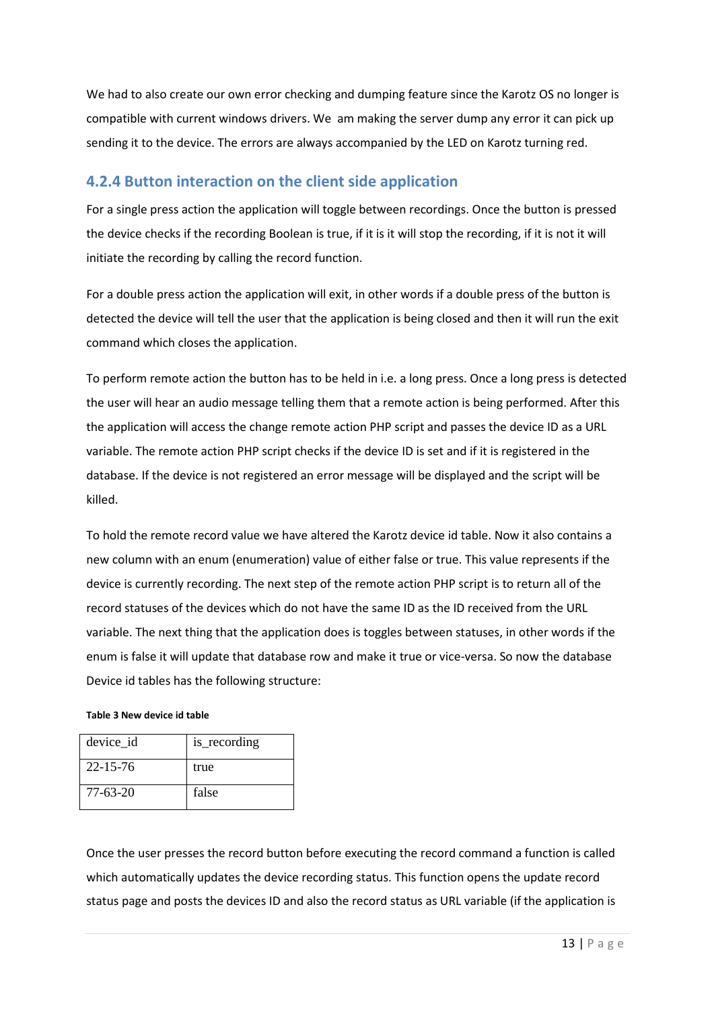We had to also create our own error checking and dumping feature since the Karotz OS no longer is compatible with current windows drivers. We am making the server dump any error it can pick up sending it to the device. The errors are always accompanied by the LED on Karotz turning red.

### **4.2.4 Button interaction on the client side application**

For a single press action the application will toggle between recordings. Once the button is pressed the device checks if the recording Boolean is true, if it is it will stop the recording, if it is not it will initiate the recording by calling the record function.

For a double press action the application will exit, in other words if a double press of the button is detected the device will tell the user that the application is being closed and then it will run the exit command which closes the application.

To perform remote action the button has to be held in i.e. a long press. Once a long press is detected the user will hear an audio message telling them that a remote action is being performed. After this the application will access the change remote action PHP script and passes the device ID as a URL variable. The remote action PHP script checks if the device ID is set and if it is registered in the database. If the device is not registered an error message will be displayed and the script will be killed.

To hold the remote record value we have altered the Karotz device id table. Now it also contains a new column with an enum (enumeration) value of either false or true. This value represents if the device is currently recording. The next step of the remote action PHP script is to return all of the record statuses of the devices which do not have the same ID as the ID received from the URL variable. The next thing that the application does is toggles between statuses, in other words if the enum is false it will update that database row and make it true or vice-versa. So now the database Device id tables has the following structure:

#### **Table 3 New device id table**

| device_id      | is_recording |
|----------------|--------------|
| $22 - 15 - 76$ | true         |
| 77-63-20       | false        |

Once the user presses the record button before executing the record command a function is called which automatically updates the device recording status. This function opens the update record status page and posts the devices ID and also the record status as URL variable (if the application is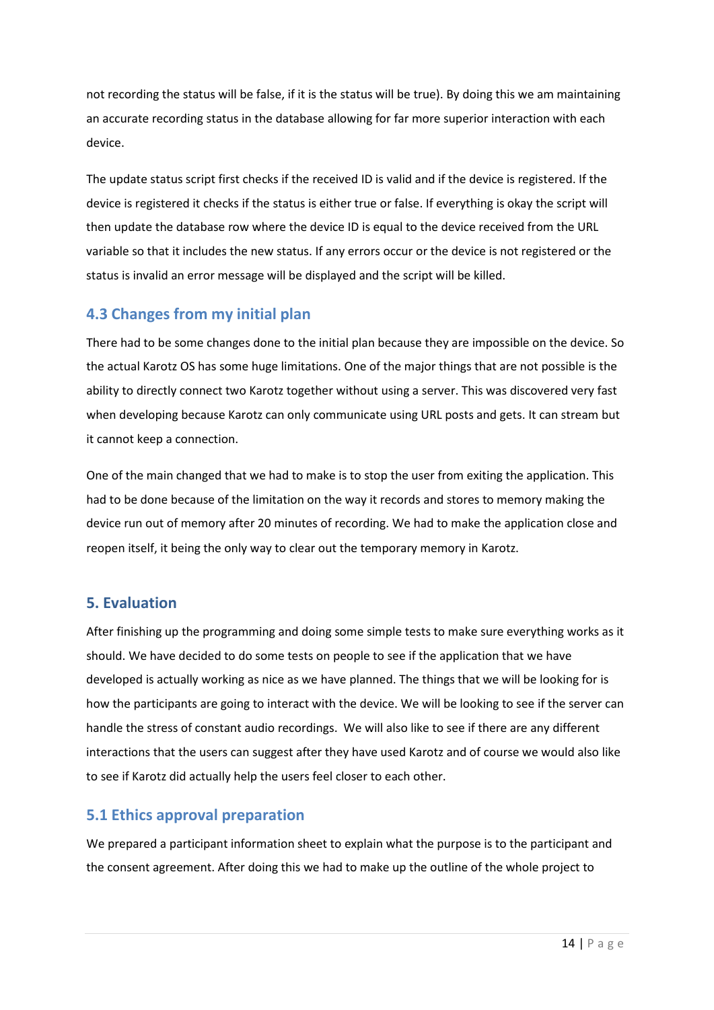not recording the status will be false, if it is the status will be true). By doing this we am maintaining an accurate recording status in the database allowing for far more superior interaction with each device.

The update status script first checks if the received ID is valid and if the device is registered. If the device is registered it checks if the status is either true or false. If everything is okay the script will then update the database row where the device ID is equal to the device received from the URL variable so that it includes the new status. If any errors occur or the device is not registered or the status is invalid an error message will be displayed and the script will be killed.

# **4.3 Changes from my initial plan**

There had to be some changes done to the initial plan because they are impossible on the device. So the actual Karotz OS has some huge limitations. One of the major things that are not possible is the ability to directly connect two Karotz together without using a server. This was discovered very fast when developing because Karotz can only communicate using URL posts and gets. It can stream but it cannot keep a connection.

One of the main changed that we had to make is to stop the user from exiting the application. This had to be done because of the limitation on the way it records and stores to memory making the device run out of memory after 20 minutes of recording. We had to make the application close and reopen itself, it being the only way to clear out the temporary memory in Karotz.

### **5. Evaluation**

After finishing up the programming and doing some simple tests to make sure everything works as it should. We have decided to do some tests on people to see if the application that we have developed is actually working as nice as we have planned. The things that we will be looking for is how the participants are going to interact with the device. We will be looking to see if the server can handle the stress of constant audio recordings. We will also like to see if there are any different interactions that the users can suggest after they have used Karotz and of course we would also like to see if Karotz did actually help the users feel closer to each other.

# **5.1 Ethics approval preparation**

We prepared a participant information sheet to explain what the purpose is to the participant and the consent agreement. After doing this we had to make up the outline of the whole project to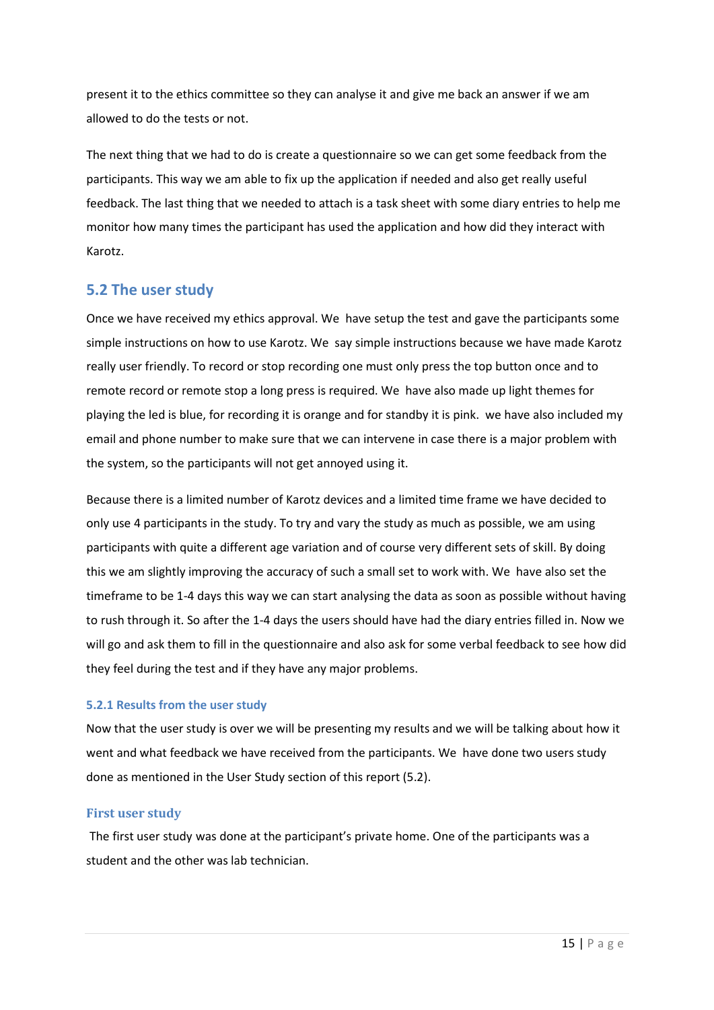present it to the ethics committee so they can analyse it and give me back an answer if we am allowed to do the tests or not.

The next thing that we had to do is create a questionnaire so we can get some feedback from the participants. This way we am able to fix up the application if needed and also get really useful feedback. The last thing that we needed to attach is a task sheet with some diary entries to help me monitor how many times the participant has used the application and how did they interact with Karotz.

# **5.2 The user study**

Once we have received my ethics approval. We have setup the test and gave the participants some simple instructions on how to use Karotz. We say simple instructions because we have made Karotz really user friendly. To record or stop recording one must only press the top button once and to remote record or remote stop a long press is required. We have also made up light themes for playing the led is blue, for recording it is orange and for standby it is pink. we have also included my email and phone number to make sure that we can intervene in case there is a major problem with the system, so the participants will not get annoyed using it.

Because there is a limited number of Karotz devices and a limited time frame we have decided to only use 4 participants in the study. To try and vary the study as much as possible, we am using participants with quite a different age variation and of course very different sets of skill. By doing this we am slightly improving the accuracy of such a small set to work with. We have also set the timeframe to be 1-4 days this way we can start analysing the data as soon as possible without having to rush through it. So after the 1-4 days the users should have had the diary entries filled in. Now we will go and ask them to fill in the questionnaire and also ask for some verbal feedback to see how did they feel during the test and if they have any major problems.

#### **5.2.1 Results from the user study**

Now that the user study is over we will be presenting my results and we will be talking about how it went and what feedback we have received from the participants. We have done two users study done as mentioned in the User Study section of this report (5.2).

#### **First user study**

The first user study was done at the participant's private home. One of the participants was a student and the other was lab technician.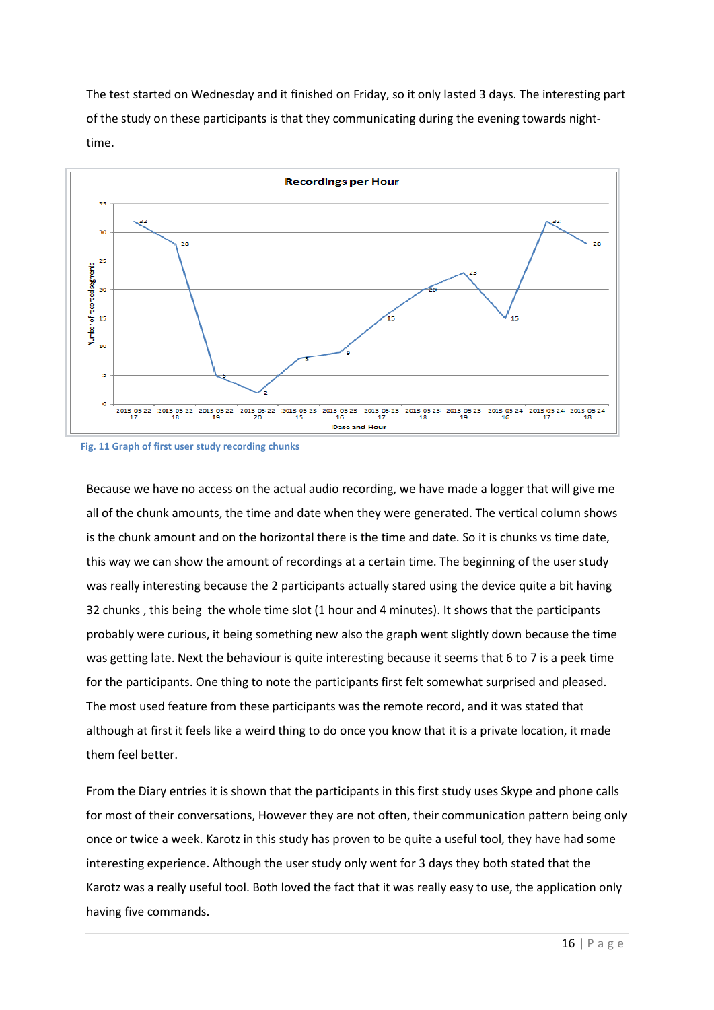The test started on Wednesday and it finished on Friday, so it only lasted 3 days. The interesting part of the study on these participants is that they communicating during the evening towards nighttime.



**Fig. 11 Graph of first user study recording chunks**

Because we have no access on the actual audio recording, we have made a logger that will give me all of the chunk amounts, the time and date when they were generated. The vertical column shows is the chunk amount and on the horizontal there is the time and date. So it is chunks vs time date, this way we can show the amount of recordings at a certain time. The beginning of the user study was really interesting because the 2 participants actually stared using the device quite a bit having 32 chunks , this being the whole time slot (1 hour and 4 minutes). It shows that the participants probably were curious, it being something new also the graph went slightly down because the time was getting late. Next the behaviour is quite interesting because it seems that 6 to 7 is a peek time for the participants. One thing to note the participants first felt somewhat surprised and pleased. The most used feature from these participants was the remote record, and it was stated that although at first it feels like a weird thing to do once you know that it is a private location, it made them feel better.

From the Diary entries it is shown that the participants in this first study uses Skype and phone calls for most of their conversations, However they are not often, their communication pattern being only once or twice a week. Karotz in this study has proven to be quite a useful tool, they have had some interesting experience. Although the user study only went for 3 days they both stated that the Karotz was a really useful tool. Both loved the fact that it was really easy to use, the application only having five commands.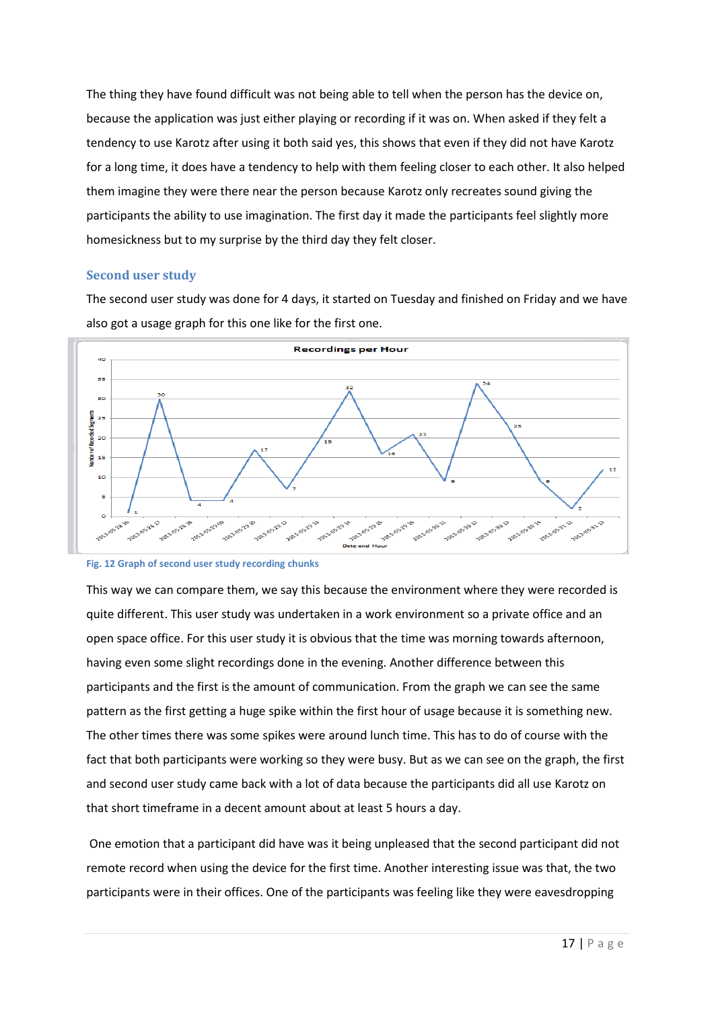The thing they have found difficult was not being able to tell when the person has the device on, because the application was just either playing or recording if it was on. When asked if they felt a tendency to use Karotz after using it both said yes, this shows that even if they did not have Karotz for a long time, it does have a tendency to help with them feeling closer to each other. It also helped them imagine they were there near the person because Karotz only recreates sound giving the participants the ability to use imagination. The first day it made the participants feel slightly more homesickness but to my surprise by the third day they felt closer.

#### **Second user study**

The second user study was done for 4 days, it started on Tuesday and finished on Friday and we have also got a usage graph for this one like for the first one.





This way we can compare them, we say this because the environment where they were recorded is quite different. This user study was undertaken in a work environment so a private office and an open space office. For this user study it is obvious that the time was morning towards afternoon, having even some slight recordings done in the evening. Another difference between this participants and the first is the amount of communication. From the graph we can see the same pattern as the first getting a huge spike within the first hour of usage because it is something new. The other times there was some spikes were around lunch time. This has to do of course with the fact that both participants were working so they were busy. But as we can see on the graph, the first and second user study came back with a lot of data because the participants did all use Karotz on that short timeframe in a decent amount about at least 5 hours a day.

One emotion that a participant did have was it being unpleased that the second participant did not remote record when using the device for the first time. Another interesting issue was that, the two participants were in their offices. One of the participants was feeling like they were eavesdropping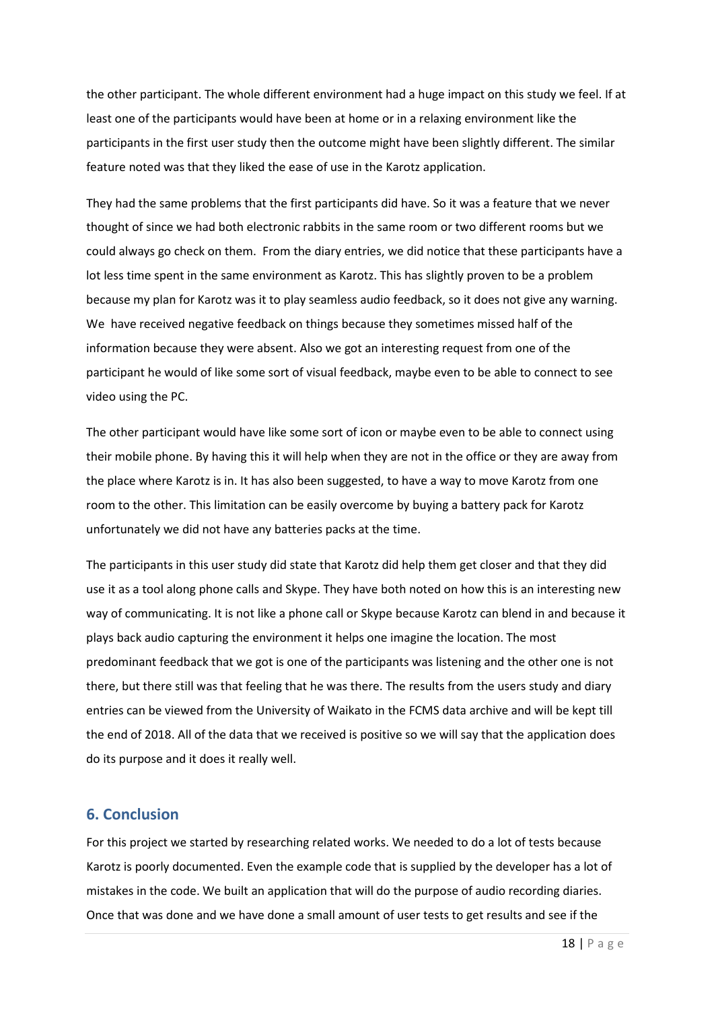the other participant. The whole different environment had a huge impact on this study we feel. If at least one of the participants would have been at home or in a relaxing environment like the participants in the first user study then the outcome might have been slightly different. The similar feature noted was that they liked the ease of use in the Karotz application.

They had the same problems that the first participants did have. So it was a feature that we never thought of since we had both electronic rabbits in the same room or two different rooms but we could always go check on them. From the diary entries, we did notice that these participants have a lot less time spent in the same environment as Karotz. This has slightly proven to be a problem because my plan for Karotz was it to play seamless audio feedback, so it does not give any warning. We have received negative feedback on things because they sometimes missed half of the information because they were absent. Also we got an interesting request from one of the participant he would of like some sort of visual feedback, maybe even to be able to connect to see video using the PC.

The other participant would have like some sort of icon or maybe even to be able to connect using their mobile phone. By having this it will help when they are not in the office or they are away from the place where Karotz is in. It has also been suggested, to have a way to move Karotz from one room to the other. This limitation can be easily overcome by buying a battery pack for Karotz unfortunately we did not have any batteries packs at the time.

The participants in this user study did state that Karotz did help them get closer and that they did use it as a tool along phone calls and Skype. They have both noted on how this is an interesting new way of communicating. It is not like a phone call or Skype because Karotz can blend in and because it plays back audio capturing the environment it helps one imagine the location. The most predominant feedback that we got is one of the participants was listening and the other one is not there, but there still was that feeling that he was there. The results from the users study and diary entries can be viewed from the University of Waikato in the FCMS data archive and will be kept till the end of 2018. All of the data that we received is positive so we will say that the application does do its purpose and it does it really well.

### **6. Conclusion**

For this project we started by researching related works. We needed to do a lot of tests because Karotz is poorly documented. Even the example code that is supplied by the developer has a lot of mistakes in the code. We built an application that will do the purpose of audio recording diaries. Once that was done and we have done a small amount of user tests to get results and see if the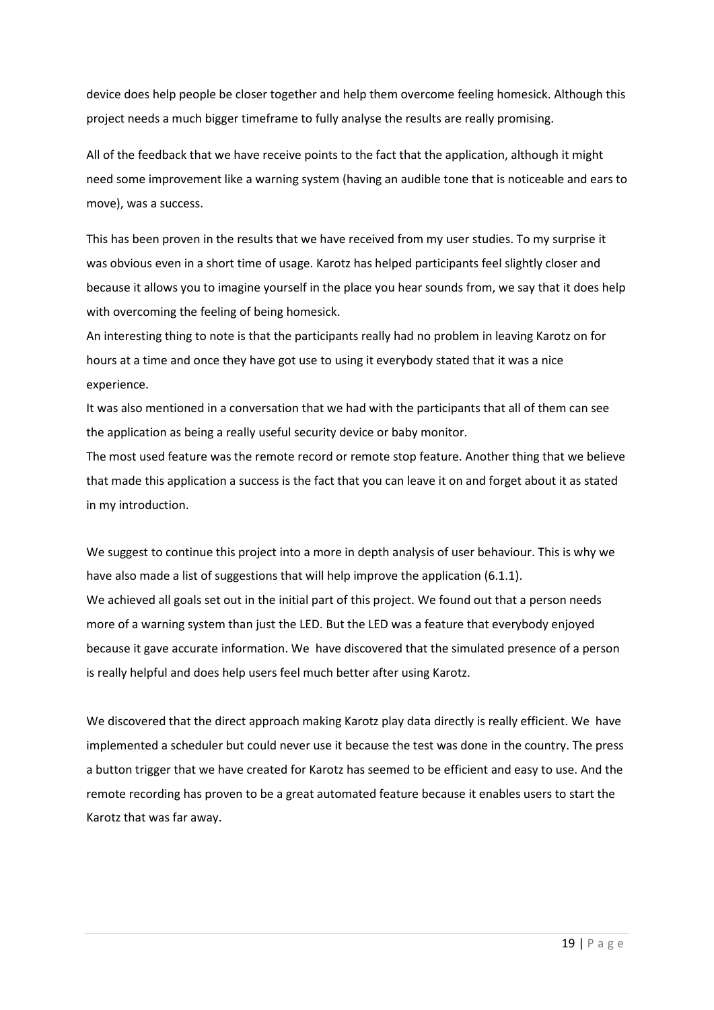device does help people be closer together and help them overcome feeling homesick. Although this project needs a much bigger timeframe to fully analyse the results are really promising.

All of the feedback that we have receive points to the fact that the application, although it might need some improvement like a warning system (having an audible tone that is noticeable and ears to move), was a success.

This has been proven in the results that we have received from my user studies. To my surprise it was obvious even in a short time of usage. Karotz has helped participants feel slightly closer and because it allows you to imagine yourself in the place you hear sounds from, we say that it does help with overcoming the feeling of being homesick.

An interesting thing to note is that the participants really had no problem in leaving Karotz on for hours at a time and once they have got use to using it everybody stated that it was a nice experience.

It was also mentioned in a conversation that we had with the participants that all of them can see the application as being a really useful security device or baby monitor.

The most used feature was the remote record or remote stop feature. Another thing that we believe that made this application a success is the fact that you can leave it on and forget about it as stated in my introduction.

We suggest to continue this project into a more in depth analysis of user behaviour. This is why we have also made a list of suggestions that will help improve the application (6.1.1). We achieved all goals set out in the initial part of this project. We found out that a person needs more of a warning system than just the LED. But the LED was a feature that everybody enjoyed because it gave accurate information. We have discovered that the simulated presence of a person is really helpful and does help users feel much better after using Karotz.

We discovered that the direct approach making Karotz play data directly is really efficient. We have implemented a scheduler but could never use it because the test was done in the country. The press a button trigger that we have created for Karotz has seemed to be efficient and easy to use. And the remote recording has proven to be a great automated feature because it enables users to start the Karotz that was far away.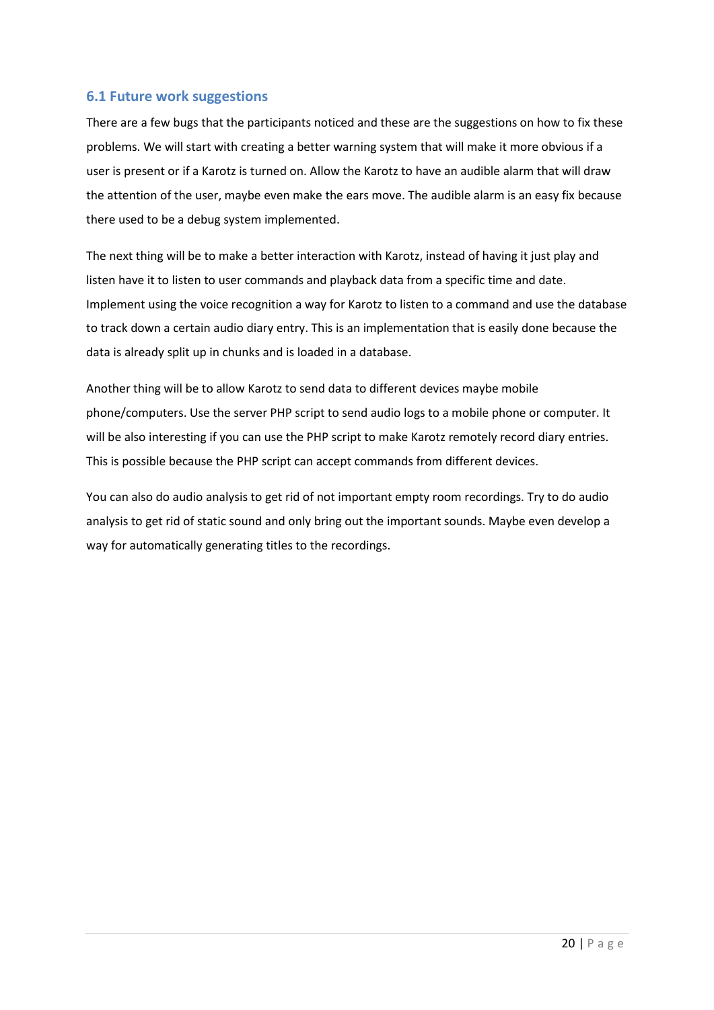#### **6.1 Future work suggestions**

There are a few bugs that the participants noticed and these are the suggestions on how to fix these problems. We will start with creating a better warning system that will make it more obvious if a user is present or if a Karotz is turned on. Allow the Karotz to have an audible alarm that will draw the attention of the user, maybe even make the ears move. The audible alarm is an easy fix because there used to be a debug system implemented.

The next thing will be to make a better interaction with Karotz, instead of having it just play and listen have it to listen to user commands and playback data from a specific time and date. Implement using the voice recognition a way for Karotz to listen to a command and use the database to track down a certain audio diary entry. This is an implementation that is easily done because the data is already split up in chunks and is loaded in a database.

Another thing will be to allow Karotz to send data to different devices maybe mobile phone/computers. Use the server PHP script to send audio logs to a mobile phone or computer. It will be also interesting if you can use the PHP script to make Karotz remotely record diary entries. This is possible because the PHP script can accept commands from different devices.

You can also do audio analysis to get rid of not important empty room recordings. Try to do audio analysis to get rid of static sound and only bring out the important sounds. Maybe even develop a way for automatically generating titles to the recordings.